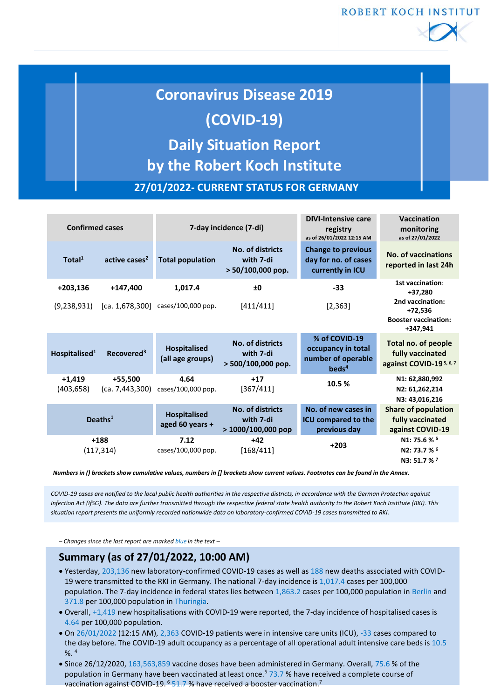ROBERT KOCH INSTITUT



# **Coronavirus Disease 2019 (COVID-19) Daily Situation Report by the Robert Koch Institute**

**27/01/2022- CURRENT STATUS FOR GERMANY**

| <b>Confirmed cases</b> |                            | 7-day incidence (7-di)                  |                                                      | <b>DIVI-Intensive care</b><br>registry<br>as of 26/01/2022 12:15 AM            | Vaccination<br>monitoring<br>as of 27/01/2022                                  |  |
|------------------------|----------------------------|-----------------------------------------|------------------------------------------------------|--------------------------------------------------------------------------------|--------------------------------------------------------------------------------|--|
| Total <sup>1</sup>     | active cases <sup>2</sup>  | <b>Total population</b>                 | No. of districts<br>with 7-di<br>$> 50/100,000$ pop. | <b>Change to previous</b><br>day for no. of cases<br>currently in ICU          | <b>No. of vaccinations</b><br>reported in last 24h                             |  |
| $+203,136$             | $+147,400$                 | 1,017.4                                 | ±0                                                   | $-33$                                                                          | 1st vaccination:<br>+37,280                                                    |  |
| (9,238,931)            |                            | [ca. $1,678,300$ ] cases/100,000 pop.   | [411/411]                                            | [2, 363]                                                                       | 2nd vaccination:<br>$+72.536$<br><b>Booster vaccination:</b><br>+347,941       |  |
| Hospitalised $1$       | Recovered <sup>3</sup>     | <b>Hospitalised</b><br>(all age groups) | No. of districts<br>with 7-di<br>> 500/100,000 pop.  | % of COVID-19<br>occupancy in total<br>number of operable<br>beds <sup>4</sup> | Total no. of people<br>fully vaccinated<br>against COVID-19 <sup>5, 6, 7</sup> |  |
| $+1,419$<br>(403,658)  | +55,500<br>(ca. 7,443,300) | 4.64<br>cases/100,000 pop.              | $+17$<br>[367/411]                                   | 10.5 %                                                                         | N1: 62,880,992<br>N2: 61,262,214<br>N3: 43,016,216                             |  |
| Deaths $1$             |                            | <b>Hospitalised</b><br>aged 60 years +  | No. of districts<br>with 7-di<br>$>1000/100,000$ pop | No. of new cases in<br><b>ICU compared to the</b><br>previous day              | <b>Share of population</b><br>fully vaccinated<br>against COVID-19             |  |
| $+188$<br>(117, 314)   |                            | 7.12<br>cases/100,000 pop.              | $+42$<br>[168/411]                                   | $+203$                                                                         | N1: 75.6 % 5<br>N2: 73.7 % 6<br>N3: 51.7 % 7                                   |  |

*Numbers in () brackets show cumulative values, numbers in [] brackets show current values. Footnotes can be found in the Annex.*

*COVID-19 cases are notified to the local public health authorities in the respective districts, in accordance with the German Protection against Infection Act (IfSG). The data are further transmitted through the respective federal state health authority to the Robert Koch Institute (RKI). This situation report presents the uniformly recorded nationwide data on laboratory-confirmed COVID-19 cases transmitted to RKI.*

*– Changes since the last report are marked blue in the text –*

# **Summary (as of 27/01/2022, 10:00 AM)**

- Yesterday, 203,136 new laboratory-confirmed COVID-19 cases as well as 188 new deaths associated with COVID-19 were transmitted to the RKI in Germany. The national 7-day incidence is 1,017.4 cases per 100,000 population. The 7-day incidence in federal states lies between 1,863.2 cases per 100,000 population in Berlin and 371.8 per 100,000 population in Thuringia.
- Overall, +1,419 new hospitalisations with COVID-19 were reported, the 7-day incidence of hospitalised cases is 4.64 per 100,000 population.
- On 26/01/2022 (12:15 AM), 2,363 COVID-19 patients were in intensive care units (ICU), -33 cases compared to the day before. The COVID-19 adult occupancy as a percentage of all operational adult intensive care beds is 10.5  $% ^{4}$
- Since 26/12/2020, 163,563,859 vaccine doses have been administered in Germany. Overall, 75.6 % of the population in Germany have been vaccinated at least once.<sup>5</sup> 73.7 % have received a complete course of vaccination against COVID-19. <sup>6</sup> 51.7 % have received a booster vaccination.<sup>7</sup>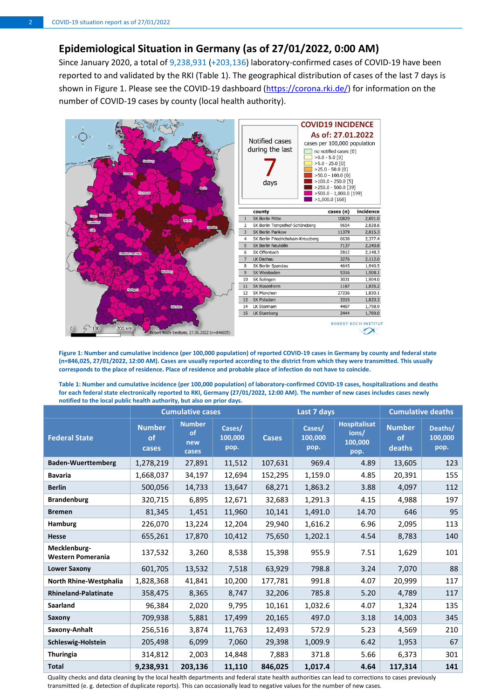## **Epidemiological Situation in Germany (as of 27/01/2022, 0:00 AM)**

Since January 2020, a total of 9,238,931 (+203,136) laboratory-confirmed cases of COVID-19 have been reported to and validated by the RKI (Table 1). The geographical distribution of cases of the last 7 days is shown in Figure 1. Please see the COVID-19 dashboard [\(https://corona.rki.de/\)](https://corona.rki.de/) for information on the number of COVID-19 cases by county (local health authority).



**Figure 1: Number and cumulative incidence (per 100,000 population) of reported COVID-19 cases in Germany by county and federal state (n=846,025, 27/01/2022, 12:00 AM). Cases are usually reported according to the district from which they were transmitted. This usually corresponds to the place of residence. Place of residence and probable place of infection do not have to coincide.**

**Table 1: Number and cumulative incidence (per 100,000 population) of laboratory-confirmed COVID-19 cases, hospitalizations and deaths for each federal state electronically reported to RKI, Germany (27/01/2022, 12:00 AM). The number of new cases includes cases newly notified to the local public health authority, but also on prior days.** 

|                                   | <b>Cumulative cases</b>      |                                     |                           | Last 7 days  |                           |                                                 | <b>Cumulative deaths</b>             |                            |
|-----------------------------------|------------------------------|-------------------------------------|---------------------------|--------------|---------------------------|-------------------------------------------------|--------------------------------------|----------------------------|
| <b>Federal State</b>              | <b>Number</b><br>of<br>cases | <b>Number</b><br>of<br>new<br>cases | Cases/<br>100,000<br>pop. | <b>Cases</b> | Cases/<br>100,000<br>pop. | <b>Hospitalisat</b><br>ions/<br>100,000<br>pop. | <b>Number</b><br><b>of</b><br>deaths | Deaths/<br>100,000<br>pop. |
| <b>Baden-Wuerttemberg</b>         | 1,278,219                    | 27,891                              | 11,512                    | 107,631      | 969.4                     | 4.89                                            | 13,605                               | 123                        |
| <b>Bavaria</b>                    | 1,668,037                    | 34,197                              | 12,694                    | 152,295      | 1,159.0                   | 4.85                                            | 20,391                               | 155                        |
| <b>Berlin</b>                     | 500,056                      | 14,733                              | 13,647                    | 68,271       | 1,863.2                   | 3.88                                            | 4,097                                | 112                        |
| <b>Brandenburg</b>                | 320,715                      | 6,895                               | 12,671                    | 32,683       | 1,291.3                   | 4.15                                            | 4,988                                | 197                        |
| <b>Bremen</b>                     | 81,345                       | 1,451                               | 11,960                    | 10,141       | 1,491.0                   | 14.70                                           | 646                                  | 95                         |
| Hamburg                           | 226,070                      | 13,224                              | 12,204                    | 29,940       | 1,616.2                   | 6.96                                            | 2,095                                | 113                        |
| <b>Hesse</b>                      | 655,261                      | 17,870                              | 10,412                    | 75,650       | 1,202.1                   | 4.54                                            | 8,783                                | 140                        |
| Mecklenburg-<br>Western Pomerania | 137,532                      | 3,260                               | 8,538                     | 15,398       | 955.9                     | 7.51                                            | 1,629                                | 101                        |
| <b>Lower Saxony</b>               | 601,705                      | 13,532                              | 7,518                     | 63,929       | 798.8                     | 3.24                                            | 7,070                                | 88                         |
| North Rhine-Westphalia            | 1,828,368                    | 41,841                              | 10,200                    | 177,781      | 991.8                     | 4.07                                            | 20,999                               | 117                        |
| <b>Rhineland-Palatinate</b>       | 358,475                      | 8,365                               | 8,747                     | 32,206       | 785.8                     | 5.20                                            | 4,789                                | 117                        |
| Saarland                          | 96,384                       | 2,020                               | 9,795                     | 10,161       | 1,032.6                   | 4.07                                            | 1,324                                | 135                        |
| Saxony                            | 709,938                      | 5,881                               | 17,499                    | 20,165       | 497.0                     | 3.18                                            | 14,003                               | 345                        |
| Saxony-Anhalt                     | 256,516                      | 3,874                               | 11,763                    | 12,493       | 572.9                     | 5.23                                            | 4,569                                | 210                        |
| Schleswig-Holstein                | 205,498                      | 6,099                               | 7,060                     | 29,398       | 1,009.9                   | 6.42                                            | 1,953                                | 67                         |
| <b>Thuringia</b>                  | 314,812                      | 2,003                               | 14,848                    | 7,883        | 371.8                     | 5.66                                            | 6,373                                | 301                        |
| <b>Total</b>                      | 9,238,931                    | 203,136                             | 11,110                    | 846,025      | 1,017.4                   | 4.64                                            | 117,314                              | 141                        |

Quality checks and data cleaning by the local health departments and federal state health authorities can lead to corrections to cases previously transmitted (e. g. detection of duplicate reports). This can occasionally lead to negative values for the number of new cases.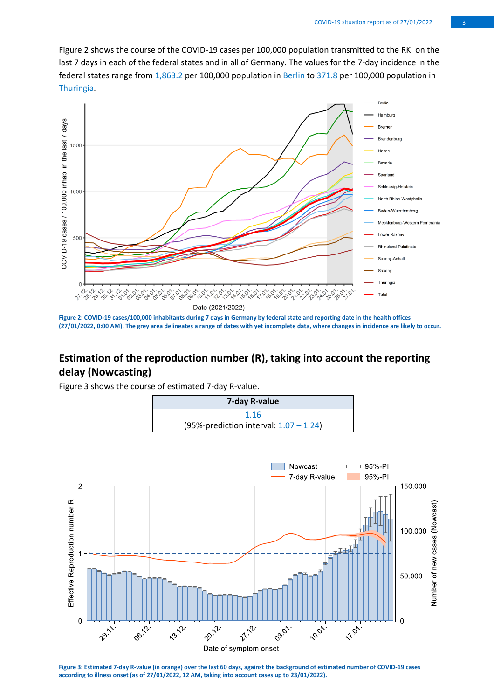Figure 2 shows the course of the COVID-19 cases per 100,000 population transmitted to the RKI on the last 7 days in each of the federal states and in all of Germany. The values for the 7-day incidence in the federal states range from 1,863.2 per 100,000 population in Berlin to 371.8 per 100,000 population in Thuringia.



**Figure 2: COVID-19 cases/100,000 inhabitants during 7 days in Germany by federal state and reporting date in the health offices (27/01/2022, 0:00 AM). The grey area delineates a range of dates with yet incomplete data, where changes in incidence are likely to occur.** 

## **Estimation of the reproduction number (R), taking into account the reporting delay (Nowcasting)**

Figure 3 shows the course of estimated 7-day R-value.





**Figure 3: Estimated 7-day R-value (in orange) over the last 60 days, against the background of estimated number of COVID-19 cases according to illness onset (as of 27/01/2022, 12 AM, taking into account cases up to 23/01/2022).**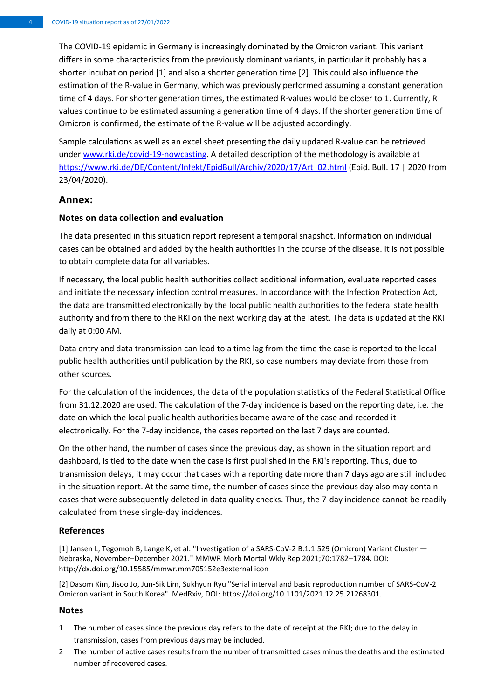The COVID-19 epidemic in Germany is increasingly dominated by the Omicron variant. This variant differs in some characteristics from the previously dominant variants, in particular it probably has a shorter incubation period [1] and also a shorter generation time [2]. This could also influence the estimation of the R-value in Germany, which was previously performed assuming a constant generation time of 4 days. For shorter generation times, the estimated R-values would be closer to 1. Currently, R values continue to be estimated assuming a generation time of 4 days. If the shorter generation time of Omicron is confirmed, the estimate of the R-value will be adjusted accordingly.

Sample calculations as well as an excel sheet presenting the daily updated R-value can be retrieved under [www.rki.de/covid-19-nowcasting.](http://www.rki.de/covid-19-nowcasting) A detailed description of the methodology is available at [https://www.rki.de/DE/Content/Infekt/EpidBull/Archiv/2020/17/Art\\_02.html](https://www.rki.de/DE/Content/Infekt/EpidBull/Archiv/2020/17/Art_02.html) (Epid. Bull. 17 | 2020 from 23/04/2020).

## **Annex:**

#### **Notes on data collection and evaluation**

The data presented in this situation report represent a temporal snapshot. Information on individual cases can be obtained and added by the health authorities in the course of the disease. It is not possible to obtain complete data for all variables.

If necessary, the local public health authorities collect additional information, evaluate reported cases and initiate the necessary infection control measures. In accordance with the Infection Protection Act, the data are transmitted electronically by the local public health authorities to the federal state health authority and from there to the RKI on the next working day at the latest. The data is updated at the RKI daily at 0:00 AM.

Data entry and data transmission can lead to a time lag from the time the case is reported to the local public health authorities until publication by the RKI, so case numbers may deviate from those from other sources.

For the calculation of the incidences, the data of the population statistics of the Federal Statistical Office from 31.12.2020 are used. The calculation of the 7-day incidence is based on the reporting date, i.e. the date on which the local public health authorities became aware of the case and recorded it electronically. For the 7-day incidence, the cases reported on the last 7 days are counted.

On the other hand, the number of cases since the previous day, as shown in the situation report and dashboard, is tied to the date when the case is first published in the RKI's reporting. Thus, due to transmission delays, it may occur that cases with a reporting date more than 7 days ago are still included in the situation report. At the same time, the number of cases since the previous day also may contain cases that were subsequently deleted in data quality checks. Thus, the 7-day incidence cannot be readily calculated from these single-day incidences.

### **References**

[1] Jansen L, Tegomoh B, Lange K, et al. "Investigation of a SARS-CoV-2 B.1.1.529 (Omicron) Variant Cluster — Nebraska, November–December 2021." MMWR Morb Mortal Wkly Rep 2021;70:1782–1784. DOI: http://dx.doi.org/10.15585/mmwr.mm705152e3external icon

[2] Dasom Kim, Jisoo Jo, Jun-Sik Lim, Sukhyun Ryu "Serial interval and basic reproduction number of SARS-CoV-2 Omicron variant in South Korea". MedRxiv, DOI: https://doi.org/10.1101/2021.12.25.21268301.

#### **Notes**

- 1 The number of cases since the previous day refers to the date of receipt at the RKI; due to the delay in transmission, cases from previous days may be included.
- 2 The number of active cases results from the number of transmitted cases minus the deaths and the estimated number of recovered cases.